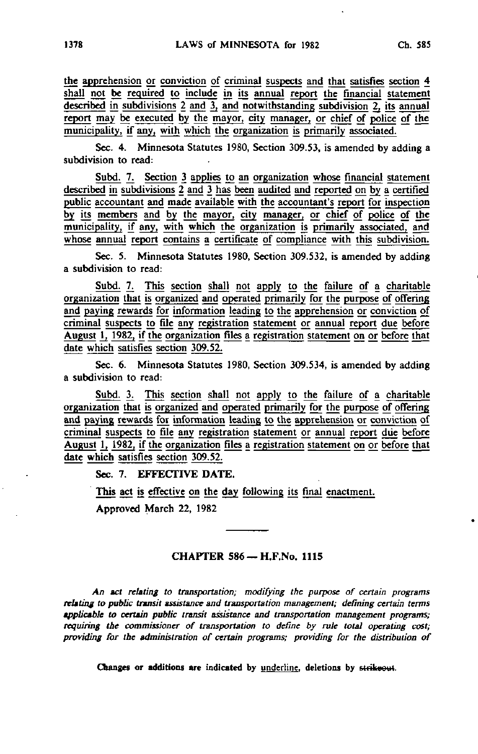the apprehension or conviction of criminal suspects and that satisfies section 4 shall not be required to include in its annual report the financial statement described in subdivisions  $2$  and  $3$ , and notwithstanding subdivision  $2$ , its annual report may be executed by the mayor, city manager, or chief of police of the municipality, if any, with which the organization is primarily associated.

Sec. 4. Minnesota Statutes 1980, Section 309.53, is amended by adding a subdivision to read:

Subd. 7. Section 3 applies to an organization whose financial statement described in subdivisions 2 and 3 has been audited and reported on by a certified public accountant and made available with the accountant's report for inspection by its members and by the mayor, city manager, or chief of police of the municipality, if any, with which the organization is primarily associated, and whose annual report contains a certificate of compliance with this subdivision.

Sec. 5. Minnesota Statutes 1980, Section 309.532, is amended by adding a subdivision to read:

Subd. 7. This section shall not apply to the failure of a charitable organization that is organized and operated primarily for the purpose of offering and paying rewards for information leading to the apprehension or conviction of criminal suspects to file any registration statement or annual report due before August 1, 1982, if the organization files a registration statement on or before that date which satisfies section 309.52.

Sec. 6. Minnesota Statutes 1980, Section 309.534, is amended by adding a subdivision to read:

Subd. 3. This section shall not apply to the failure of a charitable organization that is organized and operated primarily for the purpose of offering and paying rewards for information leading to the apprehension or conviction of criminal suspects to file any registration statement or annual report due before August 1, 1982, if the organization files a registration statement on or before that date which satisfies section 309.52.

Sec. 7. EFFECTIVE DATE.

This act is effective on the day following its final enactment.

Approved March 22, 1982

## CHAPTER 586 - H.F.No. 1115

An act relating to transportation; modifying the purpose of certain programs relating to public transit assistance and transportation management; defining certain terms applicable to certain public transit assistance and transportation management programs; requiring the commissioner of transportation to define by rule total operating cost; providing for the administration of certain programs; providing for the distribution of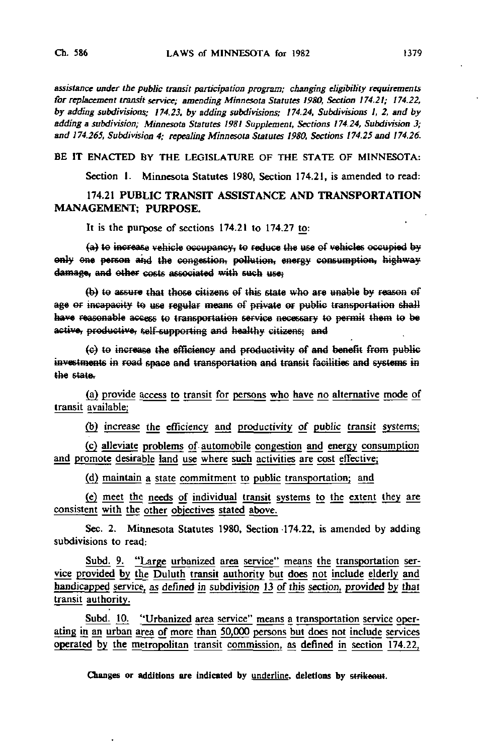assistance under the public transit participation program; changing eligibility requirements for replacement transit service; amending Minnesota Statutes 1980, Section 174.21; 174.22, by adding subdivisions; 174.23, by adding subdivisions; 174.24, Subdivisions 1, 2, and by adding a subdivision; Minnesota Statutes 1981 Supplement, Sections 174.24, Subdivision 3; and 174.265, Subdivision 4; repealing Minnesota Statutes 1980, Sections 174.25 and 174.26.

BE IT ENACTED BY THE LEGISLATURE OF THE STATE OF MINNESOTA:

Section I. Minnesota Statutes 1980, Section 174.21, is amended to read:

174.21 PUBLIC TRANSIT ASSISTANCE AND TRANSPORTATION MANAGEMENT; PURPOSE.

It is the purpose of sections 174.21 to 174.27 to:

(a) to increase vehicle occupancy, to reduce the use of vehicles occupied by only one person and the congestion, pollution, energy consumption, highway damage, and other costs associated with such use;

(b) to assure that those citizens of this state who are unable by reason of age or incapacity to use regular means of private or public transportation shall have reasonable access to transportation service necessary to permit them to be active, productive, self-supporting and healthy citizens; and

(c) to increase the efficiency and productivity of and benefit from public investments in road space and transportation and transit facilities and systems in the state.

(a) provide access to transit for persons who have no alternative mode of transit available;

(b) increase the efficiency and productivity of public transit systems;

(c) alleviate problems of automobile congestion and energy consumption and promote desirable land use where such activities are cost effective;

(d) maintain a state commitment to public transportation; and

(e) meet the needs of individual transit systems to the extent they are consistent with the other objectives stated above.

Sec. 2. Minnesota Statutes 1980, Section -174.22, is amended by adding subdivisions to read:

Subd. 9. "Large urbanized area service" means the transportation service provided by the Duluth transit authority but does not include elderly and handicapped service, as defined in subdivision 13 of this section, provided by that transit authority.

Subd. 10. "Urbanized area service" means a transportation service operating in an urban area of more than 50,000 persons but does not include services operated by the metropolitan transit commission, as defined in section 174.22,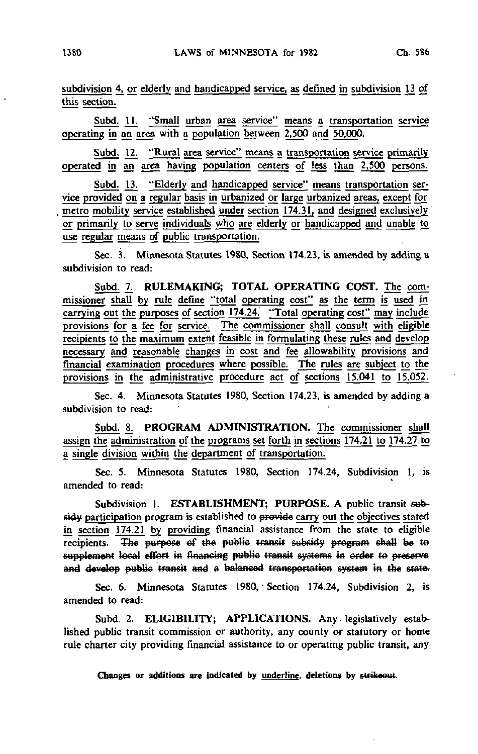subdivision 4, or elderly and handicapped service, as defined in subdivision 13 of this section.

Subd. 11. "Small urban area service" means a transportation service operating in an area with a population between  $2,500$  and  $50,000$ .

Subd. 12. "Rural area service" means a transportation service primarily operated in an area having population centers of less than 2,500 persons.

Subd. 13. "Elderly and handicapped service" means transportation service provided on a regular basis in urbanized or large urbanized areas, except for metro mobility service established under section 174.31, and designed exclusively or primarily to serve individuals who are elderly or handicapped and unable to use regular means of public transportation.

Sec. 3. Minnesota Statutes 1980, Section 174.23, is amended by adding a subdivision to read:

Subd. 7. RULEMAKING; TOTAL OPERATING COST. The commissioner shall by rule define "total operating cost" as the term is used in carrying out the purposes of section 174.24. "Total operating cost" may include provisions for a fee for service. The commissioner shall consult with eligible recipients to the maximum extent feasible in formulating these rules and develop necessary and reasonable changes in cost and fee allowability provisions and financial examination procedures where possible. The rules are subject to the provisions in the administrative procedure act of sections 15.041 to 15.052.

Sec. 4. Minnesota Statutes 1980, Section 174.23, is amended by adding a subdivision to read:

Subd. 8. PROGRAM ADMINISTRATION. The commissioner shall assign the administration of the programs set forth in sections 174.21 to 174.27 to a single division within the department of transportation.

Sec. 5. Minnesota Statutes 1980, Section 174.24, Subdivision 1, is amended to read:

Subdivision 1. ESTABLISHMENT; PURPOSE. A public transit subsidy participation program is established to provide carry out the objectives stated in section 174.21 by providing financial assistance from the state to eligible recipients. The purpose of the public transit subsidy program shall be to supplement local effort in financing public transit systems in order to preserve and develop public transit and a balanced transportation system in the state.

Sec. 6. Minnesota Statutes 1980, Section 174.24, Subdivision 2, is amended to read:

Subd. 2. ELIGIBILITY; APPLICATIONS. Any legislatively established public transit commission or authority, any county or statutory or home rule charter city providing financial assistance to or operating public transit, any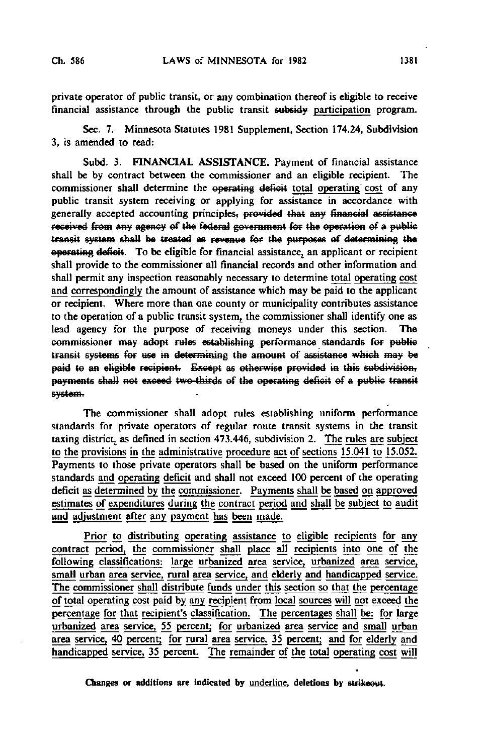private operator of public transit, or any combination thereof is eligible to receive financial assistance through the public transit subsidy participation program.

Sec. 7. Minnesota Statutes 1981 Supplement, Section 174.24, Subdivision 3, is amended to read:

Subd. 3. FINANCIAL ASSISTANCE. Payment of financial assistance shall be by contract between the commissioner and an eligible recipient. The commissioner shall determine the operating deficit total operating cost of any public transit system receiving or applying for assistance in accordance with generally accepted accounting principles, provided that any financial assistance received from any agency of the federal government for the operation of a public transit system shall be treated as revenue for the purposes of determining the operating deficit. To be eligible for financial assistance^ an applicant or recipient shall provide to the commissioner all financial records and other information and shall permit any inspection reasonably necessary to determine total operating cost and correspondingly the amount of assistance which may be paid to the applicant or recipient. Where more than one county or municipality contributes assistance to the operation of a public transit system, the commissioner shall identify one as lead agency for the purpose of receiving moneys under this section. The commissioner may adept rules establishing performance standards for public transit systems for use in determining the amount of assistance which may be paid to an eligible recipient. Except as otherwise provided in this subdivision, payments shall not exceed two-thirds of the operating deficit of a public transit system.

The commissioner shall adopt rules establishing uniform performance standards for private operators of regular route transit systems in the transit taxing district, as defined in section 473.446, subdivision 2. The rules are subject to the provisions in the administrative procedure act of sections 15.041 to 15.052. Payments to those private operators shall be based on the uniform performance standards and operating deficit and shall not exceed 100 percent of the operating deficit as determined by the commissioner. Payments shall be based on approved estimates of expenditures during the contract period and shall be subject to audit and adjustment after any payment has been made.

Prior to distributing operating assistance to eligible recipients for any contract period, the commissioner shall place all recipients into one of the following classifications: large urbanized area service, urbanized area service, small urban area service, rural area service, and elderly and handicapped service. The commissioner shall distribute funds under this section so that the percentage of total operating cost paid by any recipient from local sources will not exceed the percentage for that recipient's classification. The percentages shall be: for large urbanized area service, 55 percent; for urbanized area service and small urban area service, 40 percent; for rural area service, 35 percent; and for elderly and handicapped service, 35 percent. The remainder of the total operating cost will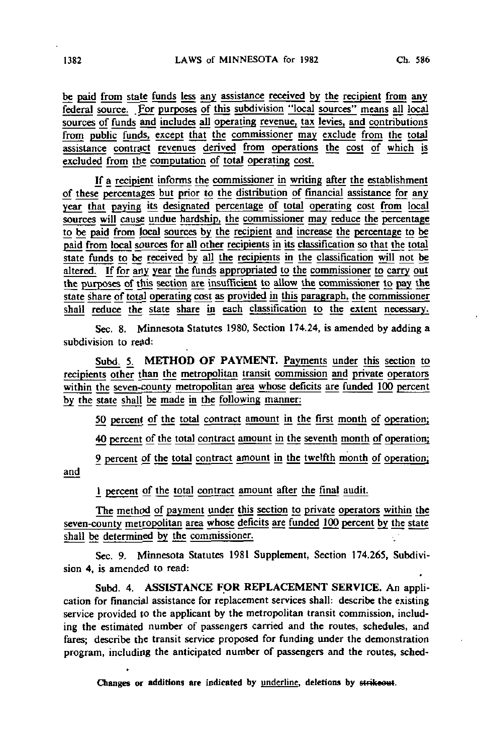be paid from state funds less any assistance received by the recipient from any federal source. For purposes of this subdivision "local sources" means all local sources of funds and includes all operating revenue, tax levies, and contributions from public funds, except that the commissioner may exclude from the total assistance contract revenues derived from operations the cost of which is excluded from the computation of total operating cost.

If a recipient informs the commissioner in writing after the establishment of these percentages but prior to the distribution of financial assistance for any year that paying its designated percentage of total operating cost from local sources will cause undue hardship, the commissioner may reduce the percentage to be paid from local sources by the recipient and increase the percentage to be paid from local sources for all other recipients in its classification so that the total state funds to be received by all the recipients in the classification will not be altered. If for any year the funds appropriated to the commissioner to carry out the purposes of this section are insufficient to allow the commissioner to pay the state share of total operating cost as provided in this paragraph, the commissioner shall reduce the state share in each classification to the extent necessary.

Sec. 8. Minnesota Statutes 1980, Section 174.24, is amended by adding a subdivision to read:

Subd. 5. METHOD OF PAYMENT. Payments under this section to recipients other than the metropolitan transit commission and private operators within the seven-county metropolitan area whose deficits are funded 100 percent by the state shall be made in the following manner:

50 percent of the total contract amount in the first month of operation;

40 percent of the total contract amount in the seventh month of operation;

9 percent of the total contract amount in the twelfth month of operation; and

1 percent of the total contract amount after the final audit.

The method of payment under this section to private operators within the seven-county metropolitan area whose deficits are funded 100 percent by the state shall be determined by the commissioner

Sec. 9. Minnesota Statutes 1981 Supplement, Section 174.265, Subdivision 4, is amended to read:

Subd. 4. ASSISTANCE FOR REPLACEMENT SERVICE. An application for financial assistance for replacement services shall: describe the existing service provided to the applicant by the metropolitan transit commission, including the estimated number of passengers carried and the routes, schedules, and fares; describe the transit service proposed for funding under the demonstration program, including the anticipated number of passengers and the routes, sched-